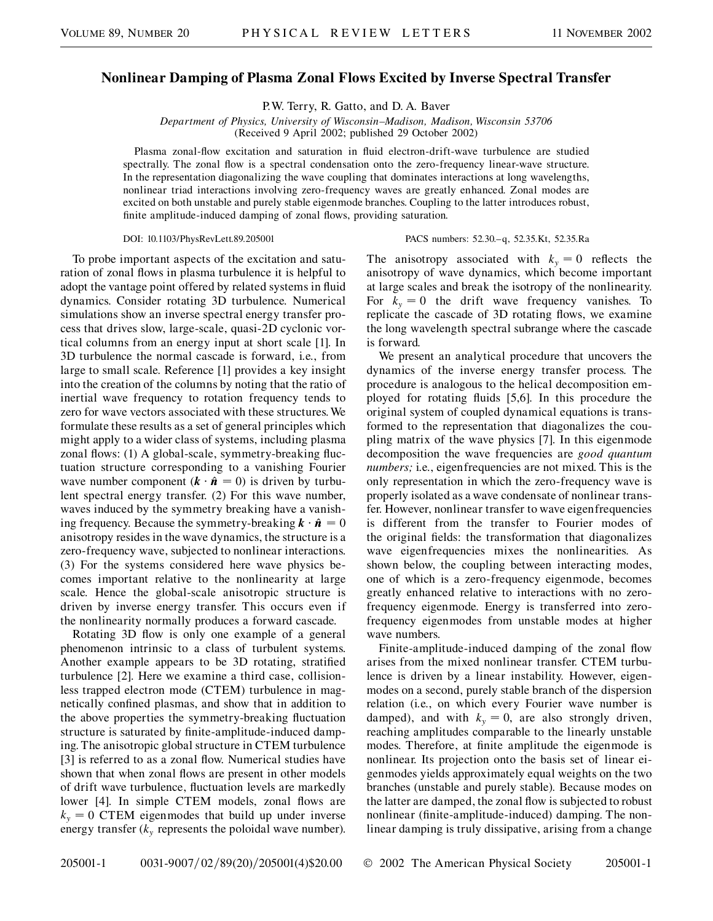## **Nonlinear Damping of Plasma Zonal Flows Excited by Inverse Spectral Transfer**

P.W. Terry, R. Gatto, and D. A. Baver

*Department of Physics, University of Wisconsin–Madison, Madison, Wisconsin 53706* (Received 9 April 2002; published 29 October 2002)

Plasma zonal-flow excitation and saturation in fluid electron-drift-wave turbulence are studied spectrally. The zonal flow is a spectral condensation onto the zero-frequency linear-wave structure. In the representation diagonalizing the wave coupling that dominates interactions at long wavelengths, nonlinear triad interactions involving zero-frequency waves are greatly enhanced. Zonal modes are excited on both unstable and purely stable eigenmode branches. Coupling to the latter introduces robust, finite amplitude-induced damping of zonal flows, providing saturation.

## DOI: 10.1103/PhysRevLett.89.205001 PACS numbers: 52.30.–q, 52.35.Kt, 52.35.Ra

To probe important aspects of the excitation and saturation of zonal flows in plasma turbulence it is helpful to adopt the vantage point offered by related systems in fluid dynamics. Consider rotating 3D turbulence. Numerical simulations show an inverse spectral energy transfer process that drives slow, large-scale, quasi-2D cyclonic vortical columns from an energy input at short scale [1]. In 3D turbulence the normal cascade is forward, i.e., from large to small scale. Reference [1] provides a key insight into the creation of the columns by noting that the ratio of inertial wave frequency to rotation frequency tends to zero for wave vectors associated with these structures. We formulate these results as a set of general principles which might apply to a wider class of systems, including plasma zonal flows: (1) A global-scale, symmetry-breaking fluctuation structure corresponding to a vanishing Fourier wave number component  $(k \cdot \hat{n} = 0)$  is driven by turbulent spectral energy transfer. (2) For this wave number, waves induced by the symmetry breaking have a vanishing frequency. Because the symmetry-breaking  $\mathbf{k} \cdot \hat{\mathbf{n}} = 0$ anisotropy resides in the wave dynamics, the structure is a zero-frequency wave, subjected to nonlinear interactions. (3) For the systems considered here wave physics becomes important relative to the nonlinearity at large scale. Hence the global-scale anisotropic structure is driven by inverse energy transfer. This occurs even if the nonlinearity normally produces a forward cascade.

Rotating 3D flow is only one example of a general phenomenon intrinsic to a class of turbulent systems. Another example appears to be 3D rotating, stratified turbulence [2]. Here we examine a third case, collisionless trapped electron mode (CTEM) turbulence in magnetically confined plasmas, and show that in addition to the above properties the symmetry-breaking fluctuation structure is saturated by finite-amplitude-induced damping. The anisotropic global structure in CTEM turbulence [3] is referred to as a zonal flow. Numerical studies have shown that when zonal flows are present in other models of drift wave turbulence, fluctuation levels are markedly lower [4]. In simple CTEM models, zonal flows are  $k_y = 0$  CTEM eigenmodes that build up under inverse energy transfer  $(k_{y}$  represents the poloidal wave number).

The anisotropy associated with  $k_y = 0$  reflects the anisotropy of wave dynamics, which become important at large scales and break the isotropy of the nonlinearity. For  $k_y = 0$  the drift wave frequency vanishes. To replicate the cascade of 3D rotating flows, we examine the long wavelength spectral subrange where the cascade is forward.

We present an analytical procedure that uncovers the dynamics of the inverse energy transfer process. The procedure is analogous to the helical decomposition employed for rotating fluids [5,6]. In this procedure the original system of coupled dynamical equations is transformed to the representation that diagonalizes the coupling matrix of the wave physics [7]. In this eigenmode decomposition the wave frequencies are *good quantum numbers;* i.e., eigenfrequencies are not mixed. This is the only representation in which the zero-frequency wave is properly isolated as a wave condensate of nonlinear transfer. However, nonlinear transfer to wave eigenfrequencies is different from the transfer to Fourier modes of the original fields: the transformation that diagonalizes wave eigenfrequencies mixes the nonlinearities. As shown below, the coupling between interacting modes, one of which is a zero-frequency eigenmode, becomes greatly enhanced relative to interactions with no zerofrequency eigenmode. Energy is transferred into zerofrequency eigenmodes from unstable modes at higher wave numbers.

Finite-amplitude-induced damping of the zonal flow arises from the mixed nonlinear transfer. CTEM turbulence is driven by a linear instability. However, eigenmodes on a second, purely stable branch of the dispersion relation (i.e., on which every Fourier wave number is damped), and with  $k_y = 0$ , are also strongly driven, reaching amplitudes comparable to the linearly unstable modes. Therefore, at finite amplitude the eigenmode is nonlinear. Its projection onto the basis set of linear eigenmodes yields approximately equal weights on the two branches (unstable and purely stable). Because modes on the latter are damped, the zonal flow is subjected to robust nonlinear (finite-amplitude-induced) damping. The nonlinear damping is truly dissipative, arising from a change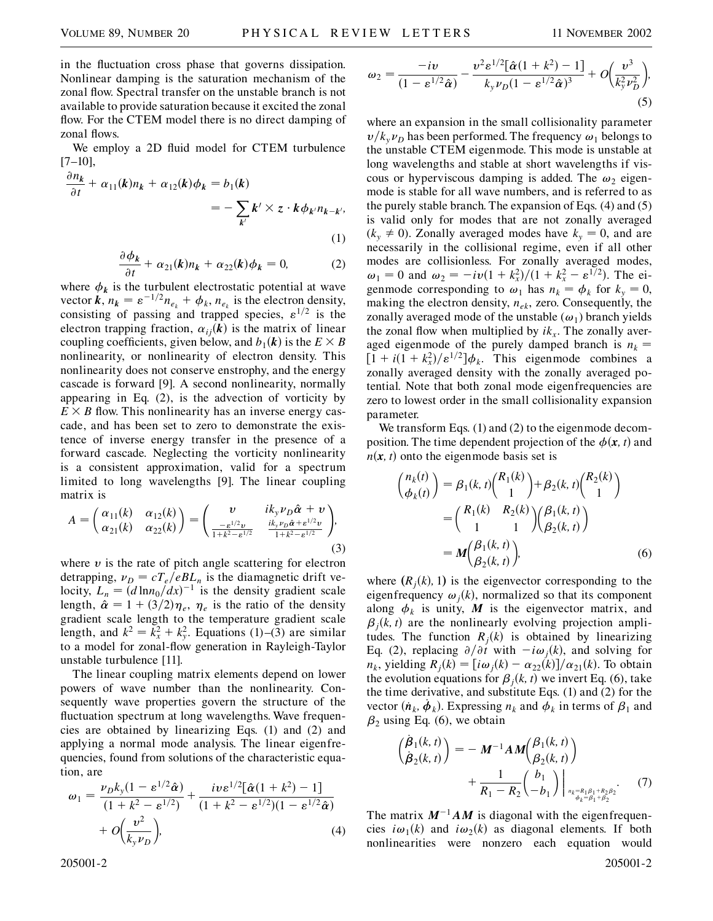in the fluctuation cross phase that governs dissipation. Nonlinear damping is the saturation mechanism of the zonal flow. Spectral transfer on the unstable branch is not available to provide saturation because it excited the zonal flow. For the CTEM model there is no direct damping of zonal flows.

We employ a 2D fluid model for CTEM turbulence [7–10],

$$
\frac{\partial n_k}{\partial t} + \alpha_{11}(k)n_k + \alpha_{12}(k)\phi_k = b_1(k)
$$
  
= 
$$
-\sum_{k'} k' \times z \cdot k \phi_{k'} n_{k-k'},
$$
  
(1)

$$
\frac{\partial \phi_k}{\partial t} + \alpha_{21}(k)n_k + \alpha_{22}(k)\phi_k = 0, \tag{2}
$$

where  $\phi_k$  is the turbulent electrostatic potential at wave vector  $\mathbf{k}$ ,  $n_k = \varepsilon^{-1/2} n_{e_k} + \phi_k$ ,  $n_{e_k}$  is the electron density, consisting of passing and trapped species,  $\varepsilon^{1/2}$  is the electron trapping fraction,  $\alpha_{ij}(k)$  is the matrix of linear coupling coefficients, given below, and  $b_1(k)$  is the  $E \times B$ nonlinearity, or nonlinearity of electron density. This nonlinearity does not conserve enstrophy, and the energy cascade is forward [9]. A second nonlinearity, normally appearing in Eq. (2), is the advection of vorticity by  $E \times B$  flow. This nonlinearity has an inverse energy cascade, and has been set to zero to demonstrate the existence of inverse energy transfer in the presence of a forward cascade. Neglecting the vorticity nonlinearity is a consistent approximation, valid for a spectrum limited to long wavelengths [9]. The linear coupling matrix is

$$
A = \begin{pmatrix} \alpha_{11}(k) & \alpha_{12}(k) \\ \alpha_{21}(k) & \alpha_{22}(k) \end{pmatrix} = \begin{pmatrix} v & i k_y \nu_D \hat{\alpha} + v \\ \frac{-\varepsilon^{1/2} v}{1 + k^2 - \varepsilon^{1/2}} & \frac{i k_y \nu_D \hat{\alpha} + \varepsilon^{1/2} v}{1 + k^2 - \varepsilon^{1/2}} \end{pmatrix},
$$
\n(3)

where  $\nu$  is the rate of pitch angle scattering for electron detrapping,  $v_D = cT_e/eBL_n$  is the diamagnetic drift velocity,  $L_n = (d \ln n_0/dx)^{-1}$  is the density gradient scale length,  $\hat{\alpha} = 1 + (3/2)\eta_e$ ,  $\eta_e$  is the ratio of the density gradient scale length to the temperature gradient scale length, and  $k^2 = k_x^2 + k_y^2$ . Equations (1)–(3) are similar to a model for zonal-flow generation in Rayleigh-Taylor unstable turbulence [11].

The linear coupling matrix elements depend on lower powers of wave number than the nonlinearity. Consequently wave properties govern the structure of the fluctuation spectrum at long wavelengths. Wave frequencies are obtained by linearizing Eqs. (1) and (2) and applying a normal mode analysis. The linear eigenfrequencies, found from solutions of the characteristic equation, are

$$
\omega_1 = \frac{\nu_D k_y (1 - \varepsilon^{1/2} \hat{\alpha})}{(1 + k^2 - \varepsilon^{1/2})} + \frac{i v \varepsilon^{1/2} [\hat{\alpha} (1 + k^2) - 1]}{(1 + k^2 - \varepsilon^{1/2}) (1 - \varepsilon^{1/2} \hat{\alpha})} + O\left(\frac{v^2}{k_y \nu_D}\right),
$$
\n(4)

$$
\omega_2 = \frac{-iv}{(1 - \varepsilon^{1/2} \hat{\alpha})} - \frac{v^2 \varepsilon^{1/2} [\hat{\alpha} (1 + k^2) - 1]}{k_y \nu_D (1 - \varepsilon^{1/2} \hat{\alpha})^3} + O\left(\frac{v^3}{k_y^2 \nu_D^2}\right),\tag{5}
$$

where an expansion in the small collisionality parameter  $v/k_v\nu_D$  has been performed. The frequency  $\omega_1$  belongs to the unstable CTEM eigenmode. This mode is unstable at long wavelengths and stable at short wavelengths if viscous or hyperviscous damping is added. The  $\omega_2$  eigenmode is stable for all wave numbers, and is referred to as the purely stable branch. The expansion of Eqs. (4) and (5) is valid only for modes that are not zonally averaged  $(k_y \neq 0)$ . Zonally averaged modes have  $k_y = 0$ , and are necessarily in the collisional regime, even if all other modes are collisionless. For zonally averaged modes,  $\omega_1 = 0$  and  $\omega_2 = -iv(1 + k_x^2)/(1 + k_x^2 - \varepsilon^{1/2})$ . The eigenmode corresponding to  $\omega_1$  has  $n_k = \phi_k$  for  $k_y = 0$ , making the electron density, *nek*, zero. Consequently, the zonally averaged mode of the unstable  $(\omega_1)$  branch yields the zonal flow when multiplied by  $ik_x$ . The zonally averaged eigenmode of the purely damped branch is  $n_k =$  $\left[1 + i(1 + k_x^2)/\varepsilon^{1/2}\right]\phi_k$ . This eigenmode combines a zonally averaged density with the zonally averaged potential. Note that both zonal mode eigenfrequencies are zero to lowest order in the small collisionality expansion parameter.

We transform Eqs. (1) and (2) to the eigenmode decomposition. The time dependent projection of the  $\phi(\mathbf{x}, t)$  and  $n(x, t)$  onto the eigenmode basis set is

$$
\begin{aligned}\n\binom{n_k(t)}{\phi_k(t)} &= \beta_1(k, t) \binom{R_1(k)}{1} + \beta_2(k, t) \binom{R_2(k)}{1} \\
&= \binom{R_1(k) \quad R_2(k)}{1 \quad 1} \binom{\beta_1(k, t)}{\beta_2(k, t)} \\
&= M \binom{\beta_1(k, t)}{\beta_2(k, t)},\n\end{aligned} \tag{6}
$$

where  $(R_j(k), 1)$  is the eigenvector corresponding to the eigenfrequency  $\omega_i(k)$ , normalized so that its component along  $\phi_k$  is unity, M is the eigenvector matrix, and  $\beta_i(k, t)$  are the nonlinearly evolving projection amplitudes. The function  $R_i(k)$  is obtained by linearizing Eq. (2), replacing  $\partial/\partial t$  with  $-i\omega_j(k)$ , and solving for  $n_k$ , yielding  $R_j(k) = \left[ i\omega_j(k) - \alpha_{22}(k) \right] / \alpha_{21}(k)$ . To obtain the evolution equations for  $\beta_i(k, t)$  we invert Eq. (6), take the time derivative, and substitute Eqs. (1) and (2) for the vector  $(\dot{n}_k, \dot{\phi}_k)$ . Expressing  $n_k$  and  $\dot{\phi}_k$  in terms of  $\beta_1$  and  $\beta_2$  using Eq. (6), we obtain

$$
\begin{aligned}\n\left(\frac{\dot{\beta}_{1}(k,t)}{\dot{\beta}_{2}(k,t)}\right) &= -\ M^{-1}AM\binom{\beta_{1}(k,t)}{\beta_{2}(k,t)} \\
&\quad + \frac{1}{R_{1}-R_{2}}\binom{b_{1}}{-b_{1}}\bigg|_{\substack{n_{k}=R_{1}\beta_{1}+R_{2}\beta_{2} \cdot \gamma_{2} \\ \phi_{k}=\beta_{1}+\beta_{2}}}.\n\end{aligned} \tag{7}
$$

The matrix  $M^{-1}AM$  is diagonal with the eigenfrequencies  $i\omega_1(k)$  and  $i\omega_2(k)$  as diagonal elements. If both nonlinearities were nonzero each equation would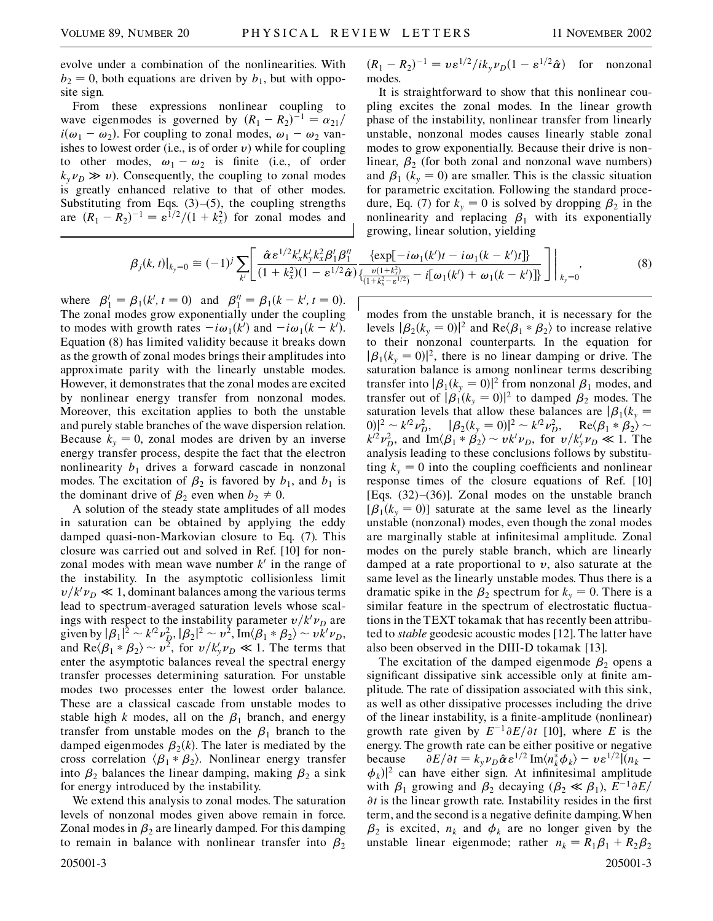evolve under a combination of the nonlinearities. With  $b_2 = 0$ , both equations are driven by  $b_1$ , but with opposite sign.

From these expressions nonlinear coupling to wave eigenmodes is governed by  $(R_1 - R_2)^{-1} = \alpha_{21}/2$  $i(\omega_1 - \omega_2)$ . For coupling to zonal modes,  $\omega_1 - \omega_2$  vanishes to lowest order (i.e., is of order  $v$ ) while for coupling to other modes,  $\omega_1 - \omega_2$  is finite (i.e., of order  $k_v \nu_D \gg v$ ). Consequently, the coupling to zonal modes is greatly enhanced relative to that of other modes. Substituting from Eqs.  $(3)$ – $(5)$ , the coupling strengths are  $(R_1 - R_2)^{-1} = \varepsilon^{1/2}/(1 + k_x^2)$  for zonal modes and

 $(R_1 - R_2)^{-1} = v \varepsilon^{1/2} / i k_y \nu_D (1 - \varepsilon^{1/2} \hat{\alpha})$  for nonzonal modes.

It is straightforward to show that this nonlinear coupling excites the zonal modes. In the linear growth phase of the instability, nonlinear transfer from linearly unstable, nonzonal modes causes linearly stable zonal modes to grow exponentially. Because their drive is nonlinear,  $\beta_2$  (for both zonal and nonzonal wave numbers) and  $\beta_1$  ( $k_y = 0$ ) are smaller. This is the classic situation for parametric excitation. Following the standard procedure, Eq. (7) for  $k_y = 0$  is solved by dropping  $\beta_2$  in the nonlinearity and replacing  $\beta_1$  with its exponentially growing, linear solution, yielding

$$
\beta_j(k,t)|_{k_y=0} \cong (-1)^j \sum_{k'} \left[ \frac{\hat{\alpha} \,\varepsilon^{1/2} k_x' k_y' k_x^2 \beta_1' \beta_1''}{(1+k_x^2)(1-\varepsilon^{1/2} \hat{\alpha})} \frac{\{\exp[-i\omega_1(k')t - i\omega_1(k-k')t]\}}{\{\frac{\nu(1+k_x^2)}{(1+k_x^2-\varepsilon^{1/2})} - i[\omega_1(k') + \omega_1(k-k')] \}} \right] \Big|_{k_y=0},\tag{8}
$$

where  $\beta'_1 = \beta_1(k', t = 0)$  and  $\beta''_1 = \beta_1(k - k', t = 0)$ . The zonal modes grow exponentially under the coupling to modes with growth rates  $-i\omega_1(k')$  and  $-i\omega_1(k-k')$ . Equation (8) has limited validity because it breaks down as the growth of zonal modes brings their amplitudes into approximate parity with the linearly unstable modes. However, it demonstrates that the zonal modes are excited by nonlinear energy transfer from nonzonal modes. Moreover, this excitation applies to both the unstable and purely stable branches of the wave dispersion relation. Because  $k_y = 0$ , zonal modes are driven by an inverse energy transfer process, despite the fact that the electron nonlinearity  $b_1$  drives a forward cascade in nonzonal modes. The excitation of  $\beta_2$  is favored by  $b_1$ , and  $b_1$  is the dominant drive of  $\beta_2$  even when  $b_2 \neq 0$ .

A solution of the steady state amplitudes of all modes in saturation can be obtained by applying the eddy damped quasi-non-Markovian closure to Eq. (7). This closure was carried out and solved in Ref. [10] for nonzonal modes with mean wave number  $k<sup>1</sup>$  in the range of the instability. In the asymptotic collisionless limit  $v/k' \nu_D \ll 1$ , dominant balances among the various terms lead to spectrum-averaged saturation levels whose scalings with respect to the instability parameter  $v/k' \nu_D$  are given by  $|\beta_1|^2 \sim k'^2 \nu_{D}^2$ ,  $|\beta_2|^2 \sim v^2$ , Im $\langle \beta_1 * \beta_2 \rangle \sim v k' \nu_{D}$ , and  $\text{Re}\langle \beta_1 * \beta_2 \rangle \sim v^2$ , for  $v/k_y' \nu_D \ll 1$ . The terms that enter the asymptotic balances reveal the spectral energy transfer processes determining saturation. For unstable modes two processes enter the lowest order balance. These are a classical cascade from unstable modes to stable high *k* modes, all on the  $\beta_1$  branch, and energy transfer from unstable modes on the  $\beta_1$  branch to the damped eigenmodes  $\beta_2(k)$ . The later is mediated by the cross correlation  $\langle \beta_1 * \beta_2 \rangle$ . Nonlinear energy transfer into  $\beta_2$  balances the linear damping, making  $\beta_2$  a sink for energy introduced by the instability.

We extend this analysis to zonal modes. The saturation levels of nonzonal modes given above remain in force. Zonal modes in  $\beta_2$  are linearly damped. For this damping to remain in balance with nonlinear transfer into  $\beta_2$ 205001-3 205001-3

modes from the unstable branch, it is necessary for the levels  $|\beta_2(k_y = 0)|^2$  and  $\text{Re}(\beta_1 * \beta_2)$  to increase relative to their nonzonal counterparts. In the equation for  $|\beta_1(k_y = 0)|^2$ , there is no linear damping or drive. The saturation balance is among nonlinear terms describing transfer into  $|\beta_1(k_y = 0)|^2$  from nonzonal  $\beta_1$  modes, and transfer out of  $|\beta_1(k_y = 0)|^2$  to damped  $\beta_2$  modes. The saturation levels that allow these balances are  $\beta_1(k_y =$  $(0)|^2 \sim k'^2 \nu_D^2$ ,  $|\beta_2(k_y = 0)|^2 \sim k'^2 \nu_D^2$ ,  $\text{Re}\langle \beta_1 * \beta_2 \rangle \sim$  $k^{2} \nu_{D}^{2}$ , and  $\text{Im}\langle\beta_{1} * \beta_{2}\rangle \sim v k' \nu_{D}$ , for  $v/k_{y}' \nu_{D} \ll 1$ . The analysis leading to these conclusions follows by substituting  $k_y = 0$  into the coupling coefficients and nonlinear response times of the closure equations of Ref. [10] [Eqs. (32)–(36)]. Zonal modes on the unstable branch  $[\beta_1(k_y = 0)]$  saturate at the same level as the linearly unstable (nonzonal) modes, even though the zonal modes are marginally stable at infinitesimal amplitude. Zonal modes on the purely stable branch, which are linearly damped at a rate proportional to *v*, also saturate at the same level as the linearly unstable modes. Thus there is a dramatic spike in the  $\beta_2$  spectrum for  $k_y = 0$ . There is a similar feature in the spectrum of electrostatic fluctuations in the TEXT tokamak that has recently been attributed to *stable* geodesic acoustic modes [12]. The latter have also been observed in the DIII-D tokamak [13].

The excitation of the damped eigenmode  $\beta_2$  opens a significant dissipative sink accessible only at finite amplitude. The rate of dissipation associated with this sink, as well as other dissipative processes including the drive of the linear instability, is a finite-amplitude (nonlinear) growth rate given by  $E^{-1} \partial E/\partial t$  [10], where *E* is the energy. The growth rate can be either positive or negative because  $\partial E/\partial t = k_y \nu_D \hat{\alpha} \epsilon^{1/2} \text{Im}\langle n_k^* \phi_k \rangle - v \epsilon^{1/2} |(n_k - \psi_k)|^2$  $\phi_k$ <sup>2</sup> can have either sign. At infinitesimal amplitude with  $\beta_1$  growing and  $\beta_2$  decaying  $(\beta_2 \ll \beta_1), E^{-1} \partial E$  $\partial t$  is the linear growth rate. Instability resides in the first term, and the second is a negative definite damping.When  $\beta_2$  is excited,  $n_k$  and  $\phi_k$  are no longer given by the unstable linear eigenmode; rather  $n_k = R_1\beta_1 + R_2\beta_2$